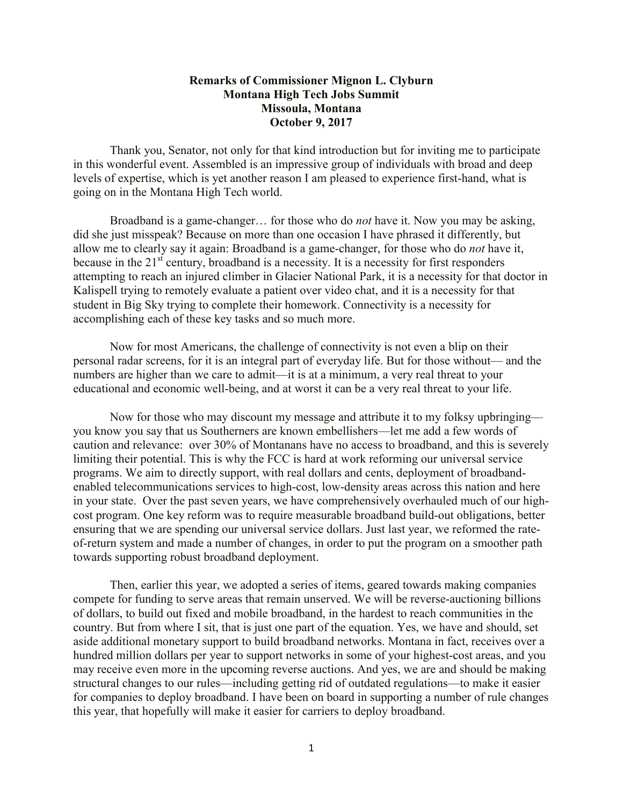## **Remarks of Commissioner Mignon L. Clyburn Montana High Tech Jobs Summit Missoula, Montana October 9, 2017**

Thank you, Senator, not only for that kind introduction but for inviting me to participate in this wonderful event. Assembled is an impressive group of individuals with broad and deep levels of expertise, which is yet another reason I am pleased to experience first-hand, what is going on in the Montana High Tech world.

Broadband is a game-changer… for those who do *not* have it. Now you may be asking, did she just misspeak? Because on more than one occasion I have phrased it differently, but allow me to clearly say it again: Broadband is a game-changer, for those who do *not* have it, because in the  $21<sup>st</sup>$  century, broadband is a necessity. It is a necessity for first responders attempting to reach an injured climber in Glacier National Park, it is a necessity for that doctor in Kalispell trying to remotely evaluate a patient over video chat, and it is a necessity for that student in Big Sky trying to complete their homework. Connectivity is a necessity for accomplishing each of these key tasks and so much more.

Now for most Americans, the challenge of connectivity is not even a blip on their personal radar screens, for it is an integral part of everyday life. But for those without— and the numbers are higher than we care to admit—it is at a minimum, a very real threat to your educational and economic well-being, and at worst it can be a very real threat to your life.

Now for those who may discount my message and attribute it to my folksy upbringing you know you say that us Southerners are known embellishers—let me add a few words of caution and relevance: over 30% of Montanans have no access to broadband, and this is severely limiting their potential. This is why the FCC is hard at work reforming our universal service programs. We aim to directly support, with real dollars and cents, deployment of broadbandenabled telecommunications services to high-cost, low-density areas across this nation and here in your state. Over the past seven years, we have comprehensively overhauled much of our highcost program. One key reform was to require measurable broadband build-out obligations, better ensuring that we are spending our universal service dollars. Just last year, we reformed the rateof-return system and made a number of changes, in order to put the program on a smoother path towards supporting robust broadband deployment.

Then, earlier this year, we adopted a series of items, geared towards making companies compete for funding to serve areas that remain unserved. We will be reverse-auctioning billions of dollars, to build out fixed and mobile broadband, in the hardest to reach communities in the country. But from where I sit, that is just one part of the equation. Yes, we have and should, set aside additional monetary support to build broadband networks. Montana in fact, receives over a hundred million dollars per year to support networks in some of your highest-cost areas, and you may receive even more in the upcoming reverse auctions. And yes, we are and should be making structural changes to our rules—including getting rid of outdated regulations—to make it easier for companies to deploy broadband. I have been on board in supporting a number of rule changes this year, that hopefully will make it easier for carriers to deploy broadband.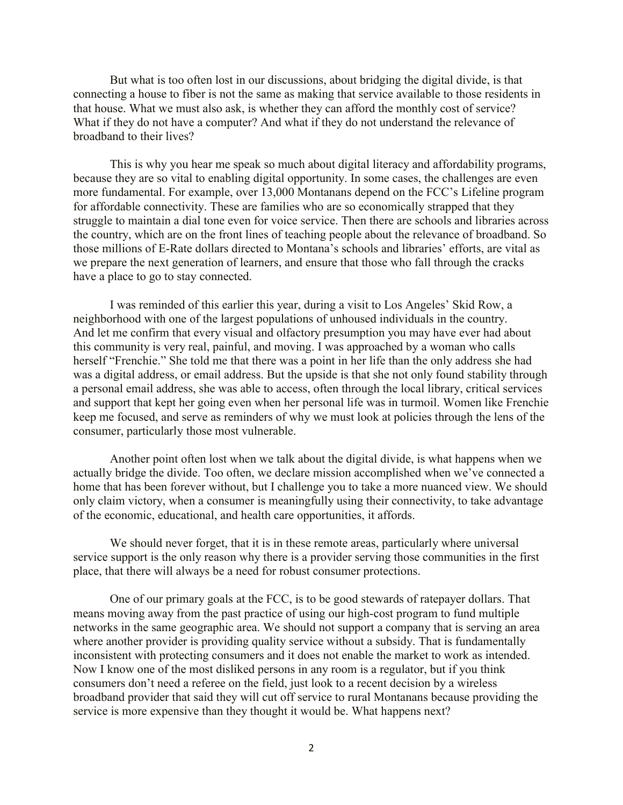But what is too often lost in our discussions, about bridging the digital divide, is that connecting a house to fiber is not the same as making that service available to those residents in that house. What we must also ask, is whether they can afford the monthly cost of service? What if they do not have a computer? And what if they do not understand the relevance of broadband to their lives?

This is why you hear me speak so much about digital literacy and affordability programs, because they are so vital to enabling digital opportunity. In some cases, the challenges are even more fundamental. For example, over 13,000 Montanans depend on the FCC's Lifeline program for affordable connectivity. These are families who are so economically strapped that they struggle to maintain a dial tone even for voice service. Then there are schools and libraries across the country, which are on the front lines of teaching people about the relevance of broadband. So those millions of E-Rate dollars directed to Montana's schools and libraries' efforts, are vital as we prepare the next generation of learners, and ensure that those who fall through the cracks have a place to go to stay connected.

I was reminded of this earlier this year, during a visit to Los Angeles' Skid Row, a neighborhood with one of the largest populations of unhoused individuals in the country. And let me confirm that every visual and olfactory presumption you may have ever had about this community is very real, painful, and moving. I was approached by a woman who calls herself "Frenchie." She told me that there was a point in her life than the only address she had was a digital address, or email address. But the upside is that she not only found stability through a personal email address, she was able to access, often through the local library, critical services and support that kept her going even when her personal life was in turmoil. Women like Frenchie keep me focused, and serve as reminders of why we must look at policies through the lens of the consumer, particularly those most vulnerable.

Another point often lost when we talk about the digital divide, is what happens when we actually bridge the divide. Too often, we declare mission accomplished when we've connected a home that has been forever without, but I challenge you to take a more nuanced view. We should only claim victory, when a consumer is meaningfully using their connectivity, to take advantage of the economic, educational, and health care opportunities, it affords.

We should never forget, that it is in these remote areas, particularly where universal service support is the only reason why there is a provider serving those communities in the first place, that there will always be a need for robust consumer protections.

One of our primary goals at the FCC, is to be good stewards of ratepayer dollars. That means moving away from the past practice of using our high-cost program to fund multiple networks in the same geographic area. We should not support a company that is serving an area where another provider is providing quality service without a subsidy. That is fundamentally inconsistent with protecting consumers and it does not enable the market to work as intended. Now I know one of the most disliked persons in any room is a regulator, but if you think consumers don't need a referee on the field, just look to a recent decision by a wireless broadband provider that said they will cut off service to rural Montanans because providing the service is more expensive than they thought it would be. What happens next?